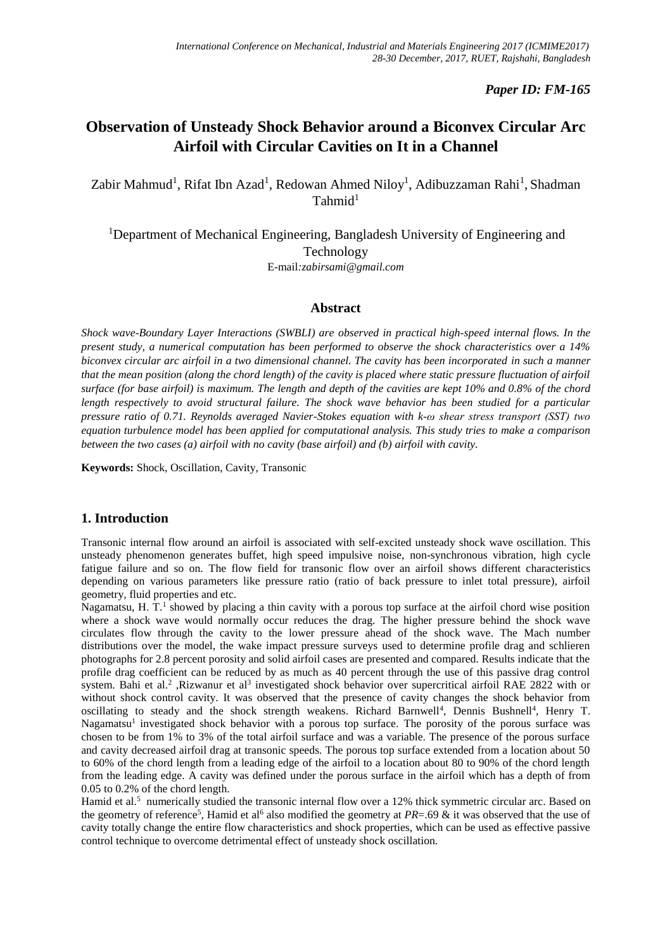### *Paper ID: FM-165*

# **Observation of Unsteady Shock Behavior around a Biconvex Circular Arc Airfoil with Circular Cavities on It in a Channel**

Zabir Mahmud<sup>1</sup>, Rifat Ibn Azad<sup>1</sup>, Redowan Ahmed Niloy<sup>1</sup>, Adibuzzaman Rahi<sup>1</sup>, Shadman  $Tahmid<sup>1</sup>$ 

<sup>1</sup>Department of Mechanical Engineering, Bangladesh University of Engineering and Technology E-mail*:zabirsami@gmail.com*

#### **Abstract**

*Shock wave-Boundary Layer Interactions (SWBLI) are observed in practical high-speed internal flows. In the present study, a numerical computation has been performed to observe the shock characteristics over a 14% biconvex circular arc airfoil in a two dimensional channel. The cavity has been incorporated in such a manner that the mean position (along the chord length) of the cavity is placed where static pressure fluctuation of airfoil surface (for base airfoil) is maximum. The length and depth of the cavities are kept 10% and 0.8% of the chord length respectively to avoid structural failure. The shock wave behavior has been studied for a particular pressure ratio of 0.71. Reynolds averaged Navier-Stokes equation with k-ω shear stress transport (SST) two equation turbulence model has been applied for computational analysis. This study tries to make a comparison between the two cases (a) airfoil with no cavity (base airfoil) and (b) airfoil with cavity.*

**Keywords:** Shock, Oscillation, Cavity, Transonic

#### **1. Introduction**

Transonic internal flow around an airfoil is associated with self-excited unsteady shock wave oscillation. This unsteady phenomenon generates buffet, high speed impulsive noise, non-synchronous vibration, high cycle fatigue failure and so on. The flow field for transonic flow over an airfoil shows different characteristics depending on various parameters like pressure ratio (ratio of back pressure to inlet total pressure), airfoil geometry, fluid properties and etc.

Nagamatsu, H. T.<sup>1</sup> showed by placing a thin cavity with a porous top surface at the airfoil chord wise position where a shock wave would normally occur reduces the drag. The higher pressure behind the shock wave circulates flow through the cavity to the lower pressure ahead of the shock wave. The Mach number distributions over the model, the wake impact pressure surveys used to determine profile drag and schlieren photographs for 2.8 percent porosity and solid airfoil cases are presented and compared. Results indicate that the profile drag coefficient can be reduced by as much as 40 percent through the use of this passive drag control system. Bahi et al.<sup>2</sup> ,Rizwanur et al<sup>3</sup> investigated shock behavior over supercritical airfoil RAE 2822 with or without shock control cavity. It was observed that the presence of cavity changes the shock behavior from oscillating to steady and the shock strength weakens. Richard Barnwell<sup>4</sup>, Dennis Bushnell<sup>4</sup>, Henry T. Nagamatsu<sup>1</sup> investigated shock behavior with a porous top surface. The porosity of the porous surface was chosen to be from 1% to 3% of the total airfoil surface and was a variable. The presence of the porous surface and cavity decreased airfoil drag at transonic speeds. The porous top surface extended from a location about 50 to 60% of the chord length from a leading edge of the airfoil to a location about 80 to 90% of the chord length from the leading edge. A cavity was defined under the porous surface in the airfoil which has a depth of from 0.05 to 0.2% of the chord length.

Hamid et al.<sup>5</sup> numerically studied the transonic internal flow over a 12% thick symmetric circular arc. Based on the geometry of reference<sup>5</sup>, Hamid et al<sup>6</sup> also modified the geometry at *PR*=.69 & it was observed that the use of cavity totally change the entire flow characteristics and shock properties, which can be used as effective passive control technique to overcome detrimental effect of unsteady shock oscillation.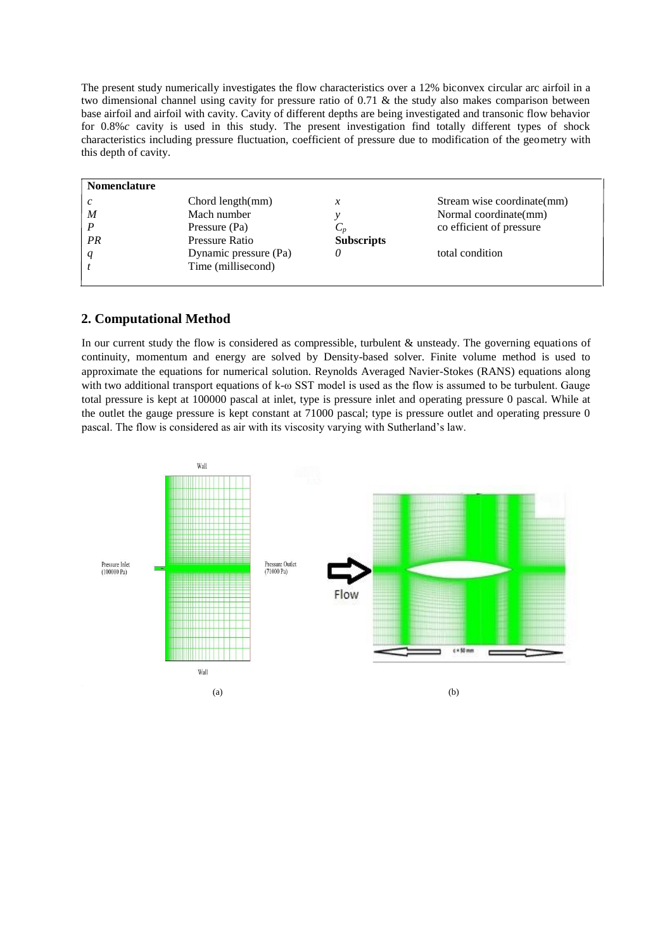The present study numerically investigates the flow characteristics over a 12% biconvex circular arc airfoil in a two dimensional channel using cavity for pressure ratio of 0.71 & the study also makes comparison between base airfoil and airfoil with cavity. Cavity of different depths are being investigated and transonic flow behavior for 0.8%*c* cavity is used in this study. The present investigation find totally different types of shock characteristics including pressure fluctuation, coefficient of pressure due to modification of the geometry with this depth of cavity.

| Chord length(mm)      | x                 | Stream wise coordinate(mm) |
|-----------------------|-------------------|----------------------------|
| Mach number           |                   | Normal coordinate(mm)      |
| Pressure (Pa)         | $C_p$             | co efficient of pressure   |
| Pressure Ratio        | <b>Subscripts</b> |                            |
| Dynamic pressure (Pa) |                   | total condition            |
| Time (millisecond)    |                   |                            |
|                       |                   |                            |

### **2. Computational Method**

In our current study the flow is considered as compressible, turbulent & unsteady. The governing equations of continuity, momentum and energy are solved by Density-based solver. Finite volume method is used to approximate the equations for numerical solution. Reynolds Averaged Navier-Stokes (RANS) equations along with two additional transport equations of k-ω SST model is used as the flow is assumed to be turbulent. Gauge total pressure is kept at 100000 pascal at inlet, type is pressure inlet and operating pressure 0 pascal. While at the outlet the gauge pressure is kept constant at 71000 pascal; type is pressure outlet and operating pressure 0 pascal. The flow is considered as air with its viscosity varying with Sutherland's law.

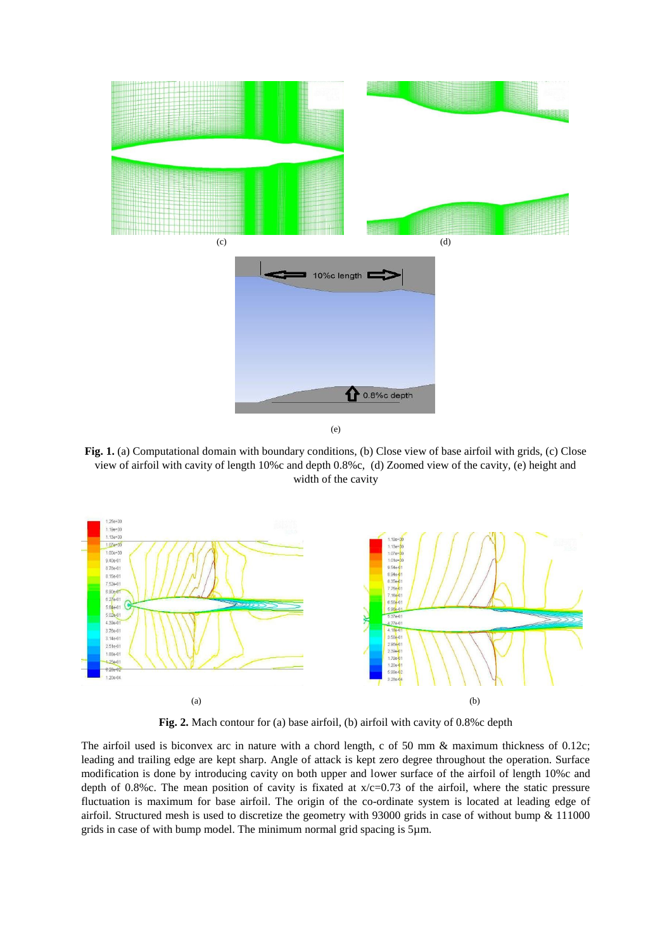

(e)

Fig. 1. (a) Computational domain with boundary conditions, (b) Close view of base airfoil with grids, (c) Close view of airfoil with cavity of length 10%c and depth 0.8%c, (d) Zoomed view of the cavity, (e) height and width of the cavity



**Fig. 2.** Mach contour for (a) base airfoil, (b) airfoil with cavity of 0.8%c depth

The airfoil used is biconvex arc in nature with a chord length, c of 50 mm & maximum thickness of 0.12c; leading and trailing edge are kept sharp. Angle of attack is kept zero degree throughout the operation. Surface modification is done by introducing cavity on both upper and lower surface of the airfoil of length 10%c and depth of 0.8%c. The mean position of cavity is fixated at  $x/c=0.73$  of the airfoil, where the static pressure fluctuation is maximum for base airfoil. The origin of the co-ordinate system is located at leading edge of airfoil. Structured mesh is used to discretize the geometry with 93000 grids in case of without bump & 111000 grids in case of with bump model. The minimum normal grid spacing is 5µm.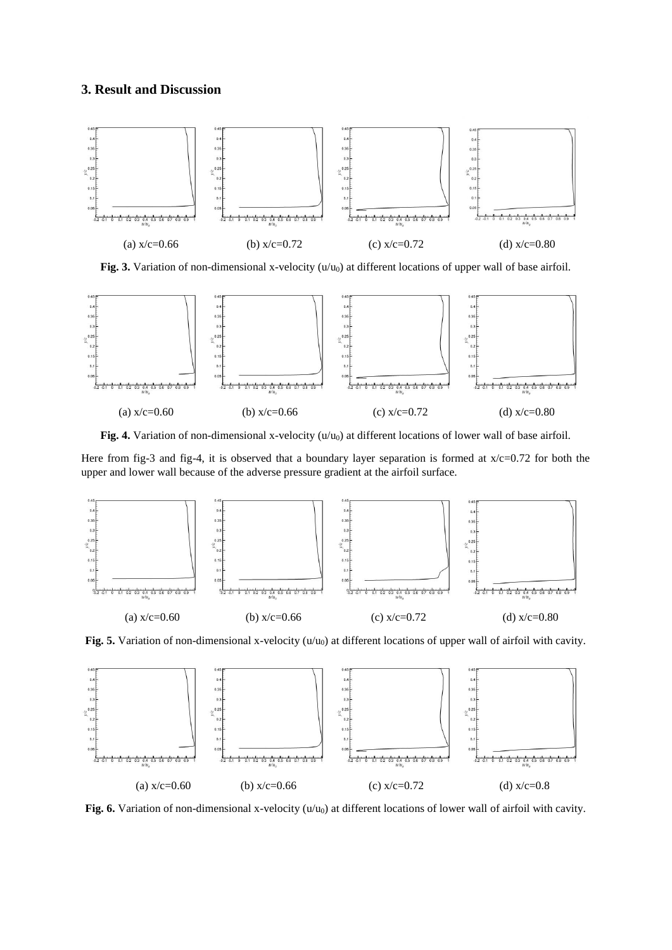## **3. Result and Discussion**



Fig. 3. Variation of non-dimensional x-velocity (u/u<sub>0</sub>) at different locations of upper wall of base airfoil.



Fig. 4. Variation of non-dimensional x-velocity (u/u<sub>0</sub>) at different locations of lower wall of base airfoil.

Here from fig-3 and fig-4, it is observed that a boundary layer separation is formed at  $x/c=0.72$  for both the upper and lower wall because of the adverse pressure gradient at the airfoil surface.



Fig. 5. Variation of non-dimensional x-velocity (u/u<sub>0</sub>) at different locations of upper wall of airfoil with cavity.



Fig. 6. Variation of non-dimensional x-velocity  $(u/u_0)$  at different locations of lower wall of airfoil with cavity.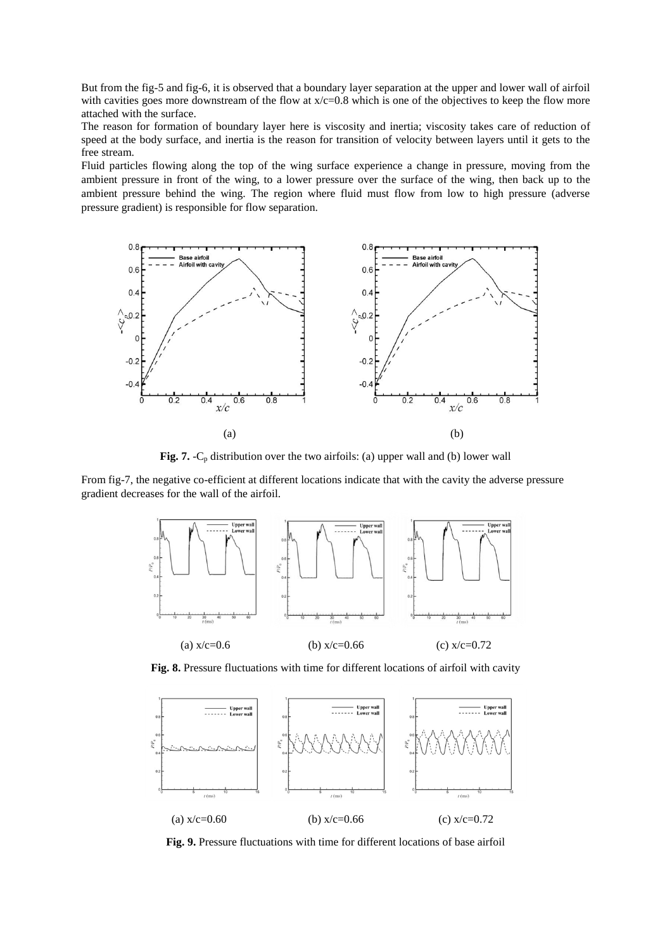But from the fig-5 and fig-6, it is observed that a boundary layer separation at the upper and lower wall of airfoil with cavities goes more downstream of the flow at  $x/c=0.8$  which is one of the objectives to keep the flow more attached with the surface.

The reason for formation of boundary layer here is viscosity and inertia; viscosity takes care of reduction of speed at the body surface, and inertia is the reason for transition of velocity between layers until it gets to the free stream.

Fluid particles flowing along the top of the wing surface experience a change in pressure, moving from the ambient pressure in front of the wing, to a lower pressure over the surface of the wing, then back up to the ambient pressure behind the wing. The region where fluid must flow from low to high pressure (adverse pressure gradient) is responsible for flow separation.



Fig. 7. -C<sub>p</sub> distribution over the two airfoils: (a) upper wall and (b) lower wall

From fig-7, the negative co-efficient at different locations indicate that with the cavity the adverse pressure gradient decreases for the wall of the airfoil.



**Fig. 8.** Pressure fluctuations with time for different locations of airfoil with cavity



**Fig. 9.** Pressure fluctuations with time for different locations of base airfoil